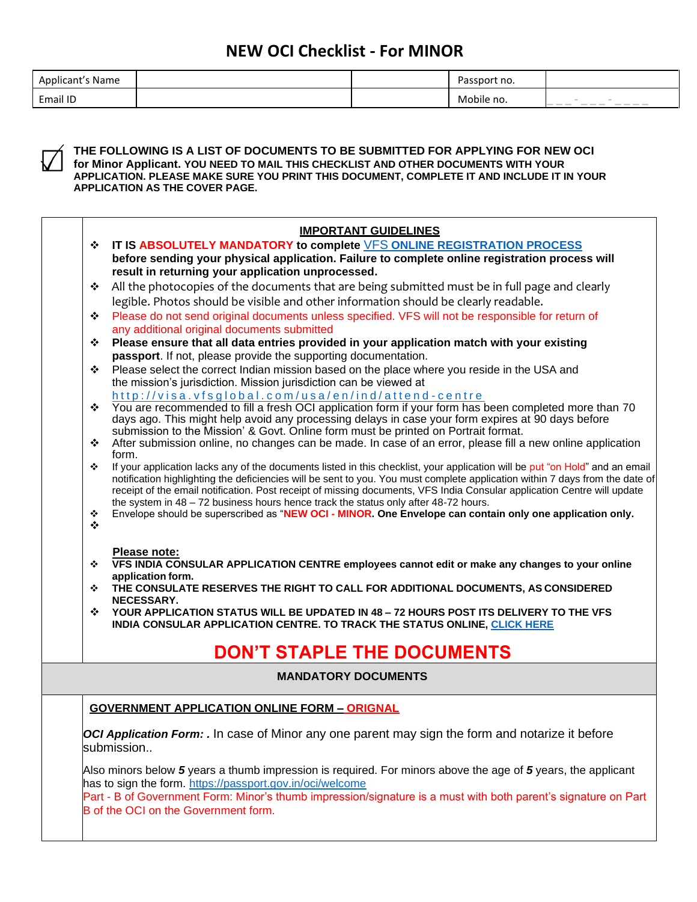| .<br>Applicant's Name |  | Passport no. |                                                                                                                                                                                                                                                                                                                                                                                                                                                                                                                             |
|-----------------------|--|--------------|-----------------------------------------------------------------------------------------------------------------------------------------------------------------------------------------------------------------------------------------------------------------------------------------------------------------------------------------------------------------------------------------------------------------------------------------------------------------------------------------------------------------------------|
| Email ID              |  | Mobile no.   | __<br>_____<br>$\frac{1}{2} \left( \frac{1}{2} \right) \left( \frac{1}{2} \right) \left( \frac{1}{2} \right) \left( \frac{1}{2} \right) \left( \frac{1}{2} \right) \left( \frac{1}{2} \right) \left( \frac{1}{2} \right) \left( \frac{1}{2} \right) \left( \frac{1}{2} \right) \left( \frac{1}{2} \right) \left( \frac{1}{2} \right) \left( \frac{1}{2} \right) \left( \frac{1}{2} \right) \left( \frac{1}{2} \right) \left( \frac{1}{2} \right) \left( \frac{1}{2} \right) \left( \frac$<br>$\frac{1}{2}$<br>$\frac{1}{2}$ |



**THE FOLLOWING IS A LIST OF DOCUMENTS TO BE SUBMITTED FOR APPLYING FOR NEW OCI for Minor Applicant. YOU NEED TO MAIL THIS CHECKLIST AND OTHER DOCUMENTS WITH YOUR APPLICATION. PLEASE MAKE SURE YOU PRINT THIS DOCUMENT, COMPLETE IT AND INCLUDE IT IN YOUR APPLICATION AS THE COVER PAGE.**

|                     | <b>IMPORTANT GUIDELINES</b>                                                                                                                                                                      |
|---------------------|--------------------------------------------------------------------------------------------------------------------------------------------------------------------------------------------------|
| ❖                   | IT IS ABSOLUTELY MANDATORY to complete VFS ONLINE REGISTRATION PROCESS                                                                                                                           |
|                     | before sending your physical application. Failure to complete online registration process will                                                                                                   |
|                     | result in returning your application unprocessed.                                                                                                                                                |
| ❖                   | All the photocopies of the documents that are being submitted must be in full page and clearly                                                                                                   |
|                     | legible. Photos should be visible and other information should be clearly readable.                                                                                                              |
| ❖                   | Please do not send original documents unless specified. VFS will not be responsible for return of                                                                                                |
|                     | any additional original documents submitted                                                                                                                                                      |
| ❖                   | Please ensure that all data entries provided in your application match with your existing                                                                                                        |
|                     | passport. If not, please provide the supporting documentation.                                                                                                                                   |
| ❖                   | Please select the correct Indian mission based on the place where you reside in the USA and                                                                                                      |
|                     | the mission's jurisdiction. Mission jurisdiction can be viewed at                                                                                                                                |
|                     | http://visa.vfsglobal.com/usa/en/ind/attend-centre                                                                                                                                               |
| ❖                   | You are recommended to fill a fresh OCI application form if your form has been completed more than 70                                                                                            |
|                     | days ago. This might help avoid any processing delays in case your form expires at 90 days before                                                                                                |
| ❖                   | submission to the Mission' & Govt. Online form must be printed on Portrait format.<br>After submission online, no changes can be made. In case of an error, please fill a new online application |
|                     | form.                                                                                                                                                                                            |
| ❖                   | If your application lacks any of the documents listed in this checklist, your application will be put "on Hold" and an email                                                                     |
|                     | notification highlighting the deficiencies will be sent to you. You must complete application within 7 days from the date of                                                                     |
|                     | receipt of the email notification. Post receipt of missing documents, VFS India Consular application Centre will update                                                                          |
|                     | the system in $48 - 72$ business hours hence track the status only after $48-72$ hours.                                                                                                          |
| ❖<br>$\ddot{\cdot}$ | Envelope should be superscribed as "NEW OCI - MINOR. One Envelope can contain only one application only.                                                                                         |
|                     |                                                                                                                                                                                                  |
|                     | Please note:                                                                                                                                                                                     |
| ❖                   | VFS INDIA CONSULAR APPLICATION CENTRE employees cannot edit or make any changes to your online                                                                                                   |
|                     | application form.                                                                                                                                                                                |
| ❖                   | THE CONSULATE RESERVES THE RIGHT TO CALL FOR ADDITIONAL DOCUMENTS, AS CONSIDERED                                                                                                                 |
|                     | NECESSARY.                                                                                                                                                                                       |
| ❖                   | YOUR APPLICATION STATUS WILL BE UPDATED IN 48 - 72 HOURS POST ITS DELIVERY TO THE VFS                                                                                                            |
|                     | INDIA CONSULAR APPLICATION CENTRE. TO TRACK THE STATUS ONLINE, CLICK HERE                                                                                                                        |
|                     | <b>DON'T STAPLE THE DOCUMENTS</b>                                                                                                                                                                |
|                     |                                                                                                                                                                                                  |
|                     | <b>MANDATORY DOCUMENTS</b>                                                                                                                                                                       |
|                     |                                                                                                                                                                                                  |
|                     | <b>GOVERNMENT APPLICATION ONLINE FORM - ORIGNAL</b>                                                                                                                                              |
|                     | OCI Application Form: . In case of Minor any one parent may sign the form and notarize it before                                                                                                 |
|                     | submission                                                                                                                                                                                       |
|                     |                                                                                                                                                                                                  |
|                     | Also minors below 5 years a thumb impression is required. For minors above the age of 5 years, the applicant                                                                                     |
|                     | has to sign the form. https://passport.gov.in/oci/welcome                                                                                                                                        |
|                     | Part - B of Government Form: Minor's thumb impression/signature is a must with both parent's signature on Part                                                                                   |
|                     | B of the OCI on the Government form.                                                                                                                                                             |
|                     |                                                                                                                                                                                                  |
|                     |                                                                                                                                                                                                  |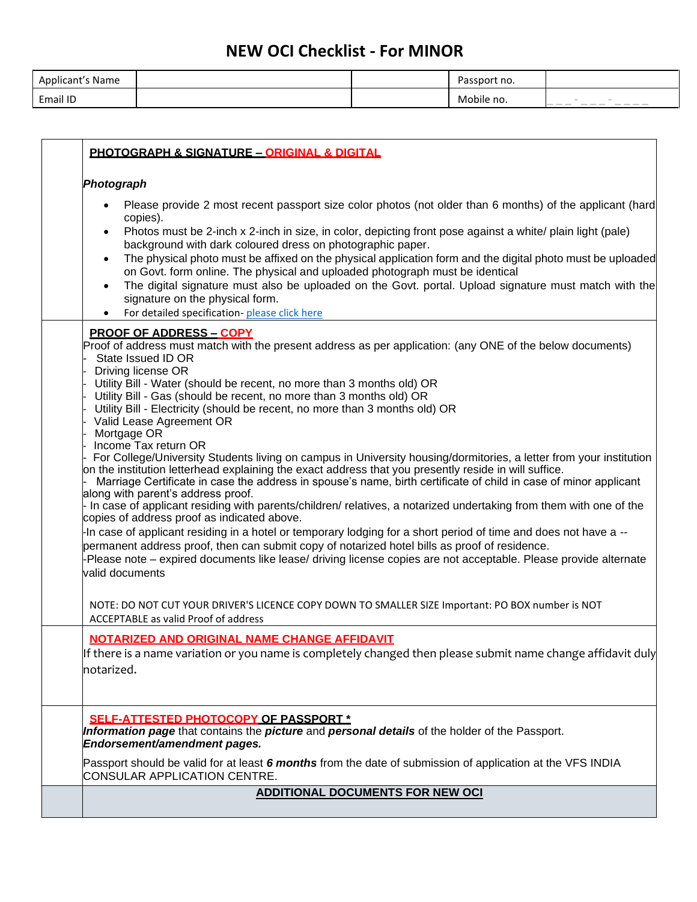| Applicant's Name |  | Passport no. |                                                                  |
|------------------|--|--------------|------------------------------------------------------------------|
| Email ID         |  | Mobile no.   | $\sim$<br>$\sim$<br>____<br>__<br>$\frac{1}{2}$<br>$\frac{1}{2}$ |

| Photograph                                                                                                                                                                                                                |
|---------------------------------------------------------------------------------------------------------------------------------------------------------------------------------------------------------------------------|
| Please provide 2 most recent passport size color photos (not older than 6 months) of the applicant (hard<br>copies).                                                                                                      |
| Photos must be 2-inch x 2-inch in size, in color, depicting front pose against a white/ plain light (pale)<br>$\bullet$<br>background with dark coloured dress on photographic paper.                                     |
| The physical photo must be affixed on the physical application form and the digital photo must be uploaded<br>$\bullet$<br>on Govt. form online. The physical and uploaded photograph must be identical                   |
| The digital signature must also be uploaded on the Govt. portal. Upload signature must match with the<br>$\bullet$<br>signature on the physical form.                                                                     |
| For detailed specification-please click here                                                                                                                                                                              |
| <b>PROOF OF ADDRESS - COPY</b><br>Proof of address must match with the present address as per application: (any ONE of the below documents)<br>State Issued ID OR                                                         |
| Driving license OR                                                                                                                                                                                                        |
| Utility Bill - Water (should be recent, no more than 3 months old) OR                                                                                                                                                     |
| Utility Bill - Gas (should be recent, no more than 3 months old) OR<br>Utility Bill - Electricity (should be recent, no more than 3 months old) OR                                                                        |
| Valid Lease Agreement OR                                                                                                                                                                                                  |
| Mortgage OR<br>Income Tax return OR                                                                                                                                                                                       |
| For College/University Students living on campus in University housing/dormitories, a letter from your institution                                                                                                        |
| on the institution letterhead explaining the exact address that you presently reside in will suffice.<br>Marriage Certificate in case the address in spouse's name, birth certificate of child in case of minor applicant |
| along with parent's address proof.                                                                                                                                                                                        |
| - In case of applicant residing with parents/children/ relatives, a notarized undertaking from them with one of the                                                                                                       |
| copies of address proof as indicated above.<br>-In case of applicant residing in a hotel or temporary lodging for a short period of time and does not have a --                                                           |
| permanent address proof, then can submit copy of notarized hotel bills as proof of residence.                                                                                                                             |
| -Please note – expired documents like lease/ driving license copies are not acceptable. Please provide alternate                                                                                                          |
| valid documents                                                                                                                                                                                                           |
| NOTE: DO NOT CUT YOUR DRIVER'S LICENCE COPY DOWN TO SMALLER SIZE Important: PO BOX number is NOT                                                                                                                          |
| ACCEPTABLE as valid Proof of address                                                                                                                                                                                      |
| NOTARIZED AND ORIGINAL NAME CHANGE AFFIDAVIT                                                                                                                                                                              |
| If there is a name variation or you name is completely changed then please submit name change affidavit duly                                                                                                              |
| notarized.                                                                                                                                                                                                                |
|                                                                                                                                                                                                                           |
| <b>SELF-ATTESTED PHOTOCOPY OF PASSPORT *</b>                                                                                                                                                                              |
| Information page that contains the picture and personal details of the holder of the Passport.<br>Endorsement/amendment pages.                                                                                            |
|                                                                                                                                                                                                                           |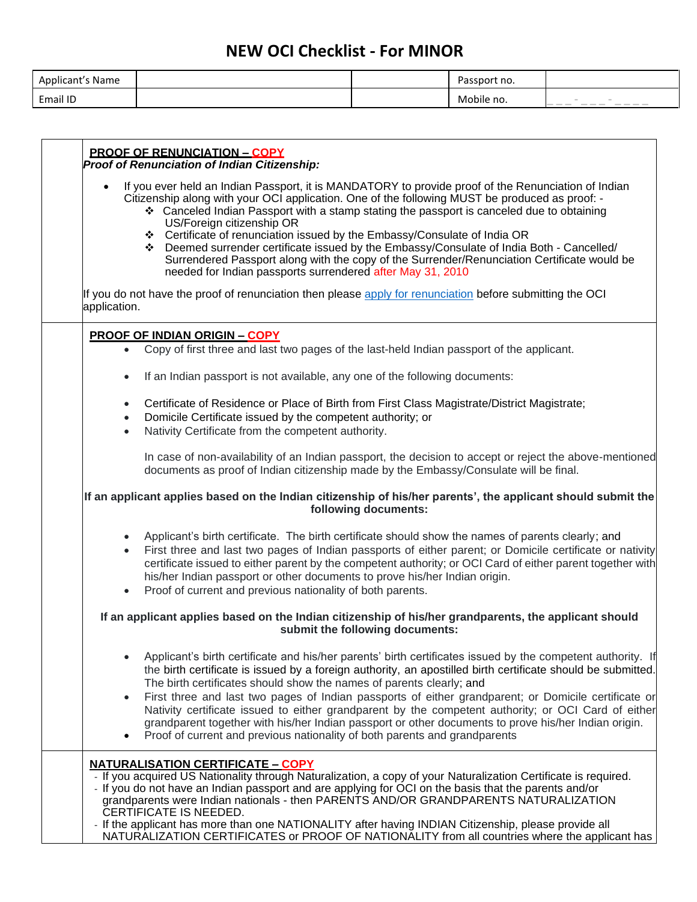| Applicant's Name |  | Passport no. |                                                         |
|------------------|--|--------------|---------------------------------------------------------|
| Email ID         |  | Mobile no.   | $- - - -$<br><b>STATES</b><br>---<br>-<br>$\frac{1}{2}$ |

|                                     | <b>PROOF OF RENUNCIATION - COPY</b><br>Proof of Renunciation of Indian Citizenship:                                                                                                                                                                                                                                                                                                                                                                                      |
|-------------------------------------|--------------------------------------------------------------------------------------------------------------------------------------------------------------------------------------------------------------------------------------------------------------------------------------------------------------------------------------------------------------------------------------------------------------------------------------------------------------------------|
|                                     | If you ever held an Indian Passport, it is MANDATORY to provide proof of the Renunciation of Indian<br>Citizenship along with your OCI application. One of the following MUST be produced as proof: -<br>❖ Canceled Indian Passport with a stamp stating the passport is canceled due to obtaining<br>US/Foreign citizenship OR                                                                                                                                          |
|                                     | ❖ Certificate of renunciation issued by the Embassy/Consulate of India OR<br>❖ Deemed surrender certificate issued by the Embassy/Consulate of India Both - Cancelled/<br>Surrendered Passport along with the copy of the Surrender/Renunciation Certificate would be<br>needed for Indian passports surrendered after May 31, 2010                                                                                                                                      |
| application.                        | If you do not have the proof of renunciation then please apply for renunciation before submitting the OCI                                                                                                                                                                                                                                                                                                                                                                |
|                                     | <b>PROOF OF INDIAN ORIGIN - COPY</b>                                                                                                                                                                                                                                                                                                                                                                                                                                     |
| $\bullet$                           | Copy of first three and last two pages of the last-held Indian passport of the applicant.                                                                                                                                                                                                                                                                                                                                                                                |
| $\bullet$                           | If an Indian passport is not available, any one of the following documents:                                                                                                                                                                                                                                                                                                                                                                                              |
| $\bullet$<br>$\bullet$<br>$\bullet$ | Certificate of Residence or Place of Birth from First Class Magistrate/District Magistrate;<br>Domicile Certificate issued by the competent authority; or<br>Nativity Certificate from the competent authority.                                                                                                                                                                                                                                                          |
|                                     | In case of non-availability of an Indian passport, the decision to accept or reject the above-mentioned<br>documents as proof of Indian citizenship made by the Embassy/Consulate will be final.                                                                                                                                                                                                                                                                         |
|                                     | If an applicant applies based on the Indian citizenship of his/her parents', the applicant should submit the<br>following documents:                                                                                                                                                                                                                                                                                                                                     |
| $\bullet$<br>$\bullet$<br>$\bullet$ | Applicant's birth certificate. The birth certificate should show the names of parents clearly; and<br>First three and last two pages of Indian passports of either parent; or Domicile certificate or nativity<br>certificate issued to either parent by the competent authority; or OCI Card of either parent together with<br>his/her Indian passport or other documents to prove his/her Indian origin.<br>Proof of current and previous nationality of both parents. |
|                                     | If an applicant applies based on the Indian citizenship of his/her grandparents, the applicant should<br>submit the following documents:                                                                                                                                                                                                                                                                                                                                 |
| $\bullet$                           | Applicant's birth certificate and his/her parents' birth certificates issued by the competent authority. If<br>the birth certificate is issued by a foreign authority, an apostilled birth certificate should be submitted.<br>The birth certificates should show the names of parents clearly; and                                                                                                                                                                      |
| $\bullet$                           | First three and last two pages of Indian passports of either grandparent; or Domicile certificate or<br>Nativity certificate issued to either grandparent by the competent authority; or OCI Card of either<br>grandparent together with his/her Indian passport or other documents to prove his/her Indian origin.<br>Proof of current and previous nationality of both parents and grandparents                                                                        |
|                                     | <b>NATURALISATION CERTIFICATE - COPY</b><br>- If you acquired US Nationality through Naturalization, a copy of your Naturalization Certificate is required.                                                                                                                                                                                                                                                                                                              |
|                                     | - If you do not have an Indian passport and are applying for OCI on the basis that the parents and/or<br>grandparents were Indian nationals - then PARENTS AND/OR GRANDPARENTS NATURALIZATION<br>CERTIFICATE IS NEEDED.                                                                                                                                                                                                                                                  |
|                                     | - If the applicant has more than one NATIONALITY after having INDIAN Citizenship, please provide all<br>NATURALIZATION CERTIFICATES or PROOF OF NATIONALITY from all countries where the applicant has                                                                                                                                                                                                                                                                   |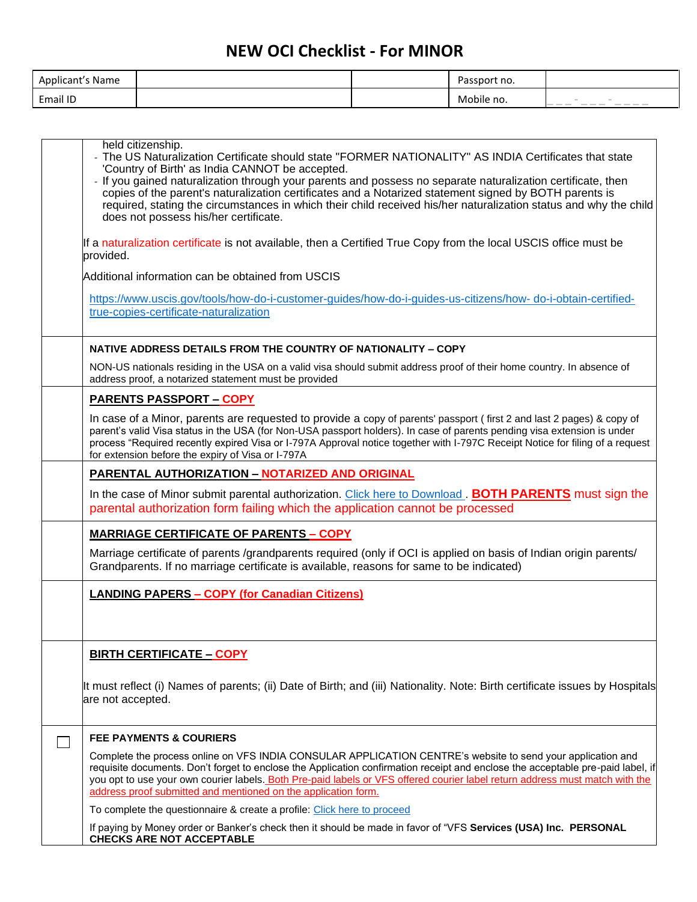| Applicant's Name |  | Passport no. |                                                                                                                                                                                                                                                                                                                                                                                                                                                                                                                                                                                                                          |
|------------------|--|--------------|--------------------------------------------------------------------------------------------------------------------------------------------------------------------------------------------------------------------------------------------------------------------------------------------------------------------------------------------------------------------------------------------------------------------------------------------------------------------------------------------------------------------------------------------------------------------------------------------------------------------------|
| Email ID         |  | Mobile no.   | $\hspace{0.1cm} -\hspace{0.1cm} -\hspace{0.1cm} -\hspace{0.1cm} -\hspace{0.1cm}$<br>$\frac{1}{2}$<br>$\frac{1}{2} \left( \frac{1}{2} \right) \left( \frac{1}{2} \right) \left( \frac{1}{2} \right) \left( \frac{1}{2} \right) \left( \frac{1}{2} \right) \left( \frac{1}{2} \right) \left( \frac{1}{2} \right) \left( \frac{1}{2} \right) \left( \frac{1}{2} \right) \left( \frac{1}{2} \right) \left( \frac{1}{2} \right) \left( \frac{1}{2} \right) \left( \frac{1}{2} \right) \left( \frac{1}{2} \right) \left( \frac{1}{2} \right) \left( \frac{1}{2} \right) \left( \frac$<br>---<br>$\frac{1}{2}$<br>$\frac{1}{2}$ |

| held citizenship.<br>- The US Naturalization Certificate should state "FORMER NATIONALITY" AS INDIA Certificates that state<br>'Country of Birth' as India CANNOT be accepted.<br>- If you gained naturalization through your parents and possess no separate naturalization certificate, then<br>copies of the parent's naturalization certificates and a Notarized statement signed by BOTH parents is<br>required, stating the circumstances in which their child received his/her naturalization status and why the child<br>does not possess his/her certificate. |
|------------------------------------------------------------------------------------------------------------------------------------------------------------------------------------------------------------------------------------------------------------------------------------------------------------------------------------------------------------------------------------------------------------------------------------------------------------------------------------------------------------------------------------------------------------------------|
| If a naturalization certificate is not available, then a Certified True Copy from the local USCIS office must be<br>provided.                                                                                                                                                                                                                                                                                                                                                                                                                                          |
| Additional information can be obtained from USCIS                                                                                                                                                                                                                                                                                                                                                                                                                                                                                                                      |
| https://www.uscis.gov/tools/how-do-i-customer-guides/how-do-i-guides-us-citizens/how-do-i-obtain-certified-<br>true-copies-certificate-naturalization                                                                                                                                                                                                                                                                                                                                                                                                                  |
| NATIVE ADDRESS DETAILS FROM THE COUNTRY OF NATIONALITY - COPY                                                                                                                                                                                                                                                                                                                                                                                                                                                                                                          |
| NON-US nationals residing in the USA on a valid visa should submit address proof of their home country. In absence of<br>address proof, a notarized statement must be provided                                                                                                                                                                                                                                                                                                                                                                                         |
| <b>PARENTS PASSPORT - COPY</b>                                                                                                                                                                                                                                                                                                                                                                                                                                                                                                                                         |
| In case of a Minor, parents are requested to provide a copy of parents' passport (first 2 and last 2 pages) & copy of<br>parent's valid Visa status in the USA (for Non-USA passport holders). In case of parents pending visa extension is under<br>process "Required recently expired Visa or I-797A Approval notice together with I-797C Receipt Notice for filing of a request<br>for extension before the expiry of Visa or I-797A                                                                                                                                |
| <b>PARENTAL AUTHORIZATION - NOTARIZED AND ORIGINAL</b>                                                                                                                                                                                                                                                                                                                                                                                                                                                                                                                 |
| In the case of Minor submit parental authorization. Click here to Download <b>BOTH PARENTS</b> must sign the<br>parental authorization form failing which the application cannot be processed                                                                                                                                                                                                                                                                                                                                                                          |
| <b>MARRIAGE CERTIFICATE OF PARENTS - COPY</b>                                                                                                                                                                                                                                                                                                                                                                                                                                                                                                                          |
| Marriage certificate of parents /grandparents required (only if OCI is applied on basis of Indian origin parents/<br>Grandparents. If no marriage certificate is available, reasons for same to be indicated)                                                                                                                                                                                                                                                                                                                                                          |
| <b>LANDING PAPERS - COPY (for Canadian Citizens)</b>                                                                                                                                                                                                                                                                                                                                                                                                                                                                                                                   |
| <b>BIRTH CERTIFICATE - COPY</b>                                                                                                                                                                                                                                                                                                                                                                                                                                                                                                                                        |
| It must reflect (i) Names of parents; (ii) Date of Birth; and (iii) Nationality. Note: Birth certificate issues by Hospitals<br>are not accepted.                                                                                                                                                                                                                                                                                                                                                                                                                      |
| <b>FEE PAYMENTS &amp; COURIERS</b>                                                                                                                                                                                                                                                                                                                                                                                                                                                                                                                                     |
| Complete the process online on VFS INDIA CONSULAR APPLICATION CENTRE's website to send your application and<br>requisite documents. Don't forget to enclose the Application confirmation receipt and enclose the acceptable pre-paid label, if<br>you opt to use your own courier labels. Both Pre-paid labels or VFS offered courier label return address must match with the<br>address proof submitted and mentioned on the application form.                                                                                                                       |
| To complete the questionnaire & create a profile: Click here to proceed                                                                                                                                                                                                                                                                                                                                                                                                                                                                                                |
| If paying by Money order or Banker's check then it should be made in favor of "VFS Services (USA) Inc. PERSONAL<br><b>CHECKS ARE NOT ACCEPTABLE</b>                                                                                                                                                                                                                                                                                                                                                                                                                    |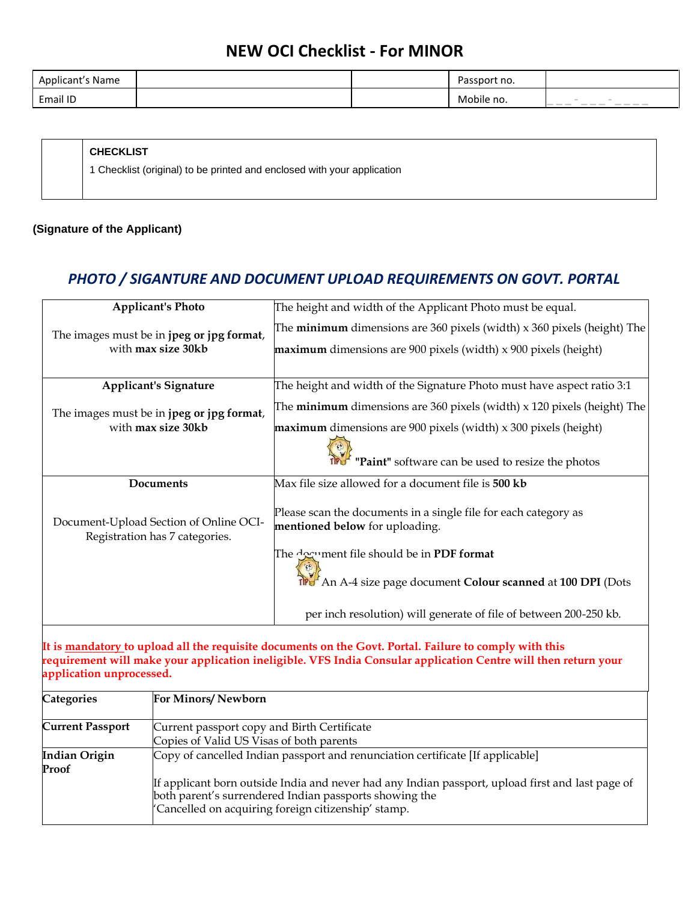| Applicant's Name |  | Passport no. |                                                                                                                                                                                                                                                                                                                                                                                                                                                                                                                                                                                                   |
|------------------|--|--------------|---------------------------------------------------------------------------------------------------------------------------------------------------------------------------------------------------------------------------------------------------------------------------------------------------------------------------------------------------------------------------------------------------------------------------------------------------------------------------------------------------------------------------------------------------------------------------------------------------|
| Email ID         |  | Mobile no.   | <b>COLOR</b><br><b>STATE</b><br>$\qquad \qquad \overline{\qquad \qquad }$<br>$\frac{1}{2} \left( \frac{1}{2} \right) \left( \frac{1}{2} \right) \left( \frac{1}{2} \right) \left( \frac{1}{2} \right) \left( \frac{1}{2} \right) \left( \frac{1}{2} \right) \left( \frac{1}{2} \right) \left( \frac{1}{2} \right) \left( \frac{1}{2} \right) \left( \frac{1}{2} \right) \left( \frac{1}{2} \right) \left( \frac{1}{2} \right) \left( \frac{1}{2} \right) \left( \frac{1}{2} \right) \left( \frac{1}{2} \right) \left( \frac{1}{2} \right) \left( \frac$<br>$-$<br>$\overline{\phantom{a}}$<br>--- |

#### **CHECKLIST**

1 Checklist (original) to be printed and enclosed with your application

#### **(Signature of the Applicant)**

#### *PHOTO / SIGANTURE AND DOCUMENT UPLOAD REQUIREMENTS ON GOVT. PORTAL*

|                                                                                                                                                                                                                   | <b>Applicant's Photo</b>                    | The height and width of the Applicant Photo must be equal.                                                                                                                                                               |
|-------------------------------------------------------------------------------------------------------------------------------------------------------------------------------------------------------------------|---------------------------------------------|--------------------------------------------------------------------------------------------------------------------------------------------------------------------------------------------------------------------------|
|                                                                                                                                                                                                                   | The images must be in jpeg or jpg format,   | The <b>minimum</b> dimensions are 360 pixels (width) x 360 pixels (height) The                                                                                                                                           |
|                                                                                                                                                                                                                   | with max size 30kb                          | maximum dimensions are 900 pixels (width) x 900 pixels (height)                                                                                                                                                          |
|                                                                                                                                                                                                                   | <b>Applicant's Signature</b>                | The height and width of the Signature Photo must have aspect ratio 3:1                                                                                                                                                   |
|                                                                                                                                                                                                                   | The images must be in jpeg or jpg format,   | The <b>minimum</b> dimensions are $360$ pixels (width) $x$ 120 pixels (height) The                                                                                                                                       |
|                                                                                                                                                                                                                   | with max size 30kb                          | maximum dimensions are 900 pixels (width) x 300 pixels (height)                                                                                                                                                          |
|                                                                                                                                                                                                                   |                                             | "Paint" software can be used to resize the photos                                                                                                                                                                        |
|                                                                                                                                                                                                                   | Documents                                   | Max file size allowed for a document file is 500 kb                                                                                                                                                                      |
| Document-Upload Section of Online OCI-<br>Registration has 7 categories.                                                                                                                                          |                                             | Please scan the documents in a single file for each category as<br>mentioned below for uploading.                                                                                                                        |
|                                                                                                                                                                                                                   |                                             | The degrament file should be in PDF format                                                                                                                                                                               |
|                                                                                                                                                                                                                   |                                             | The An A-4 size page document Colour scanned at 100 DPI (Dots                                                                                                                                                            |
|                                                                                                                                                                                                                   |                                             | per inch resolution) will generate of file of between 200-250 kb.                                                                                                                                                        |
| application unprocessed.                                                                                                                                                                                          |                                             | It is mandatory to upload all the requisite documents on the Govt. Portal. Failure to comply with this<br>requirement will make your application ineligible. VFS India Consular application Centre will then return your |
| <b>Categories</b>                                                                                                                                                                                                 | For Minors/Newborn                          |                                                                                                                                                                                                                          |
| <b>Current Passport</b>                                                                                                                                                                                           | Current passport copy and Birth Certificate |                                                                                                                                                                                                                          |
|                                                                                                                                                                                                                   | Copies of Valid US Visas of both parents    |                                                                                                                                                                                                                          |
| <b>Indian Origin</b><br>Proof                                                                                                                                                                                     |                                             | Copy of cancelled Indian passport and renunciation certificate [If applicable]                                                                                                                                           |
| If applicant born outside India and never had any Indian passport, upload first and last page of<br>both parent's surrendered Indian passports showing the<br>'Cancelled on acquiring foreign citizenship' stamp. |                                             |                                                                                                                                                                                                                          |